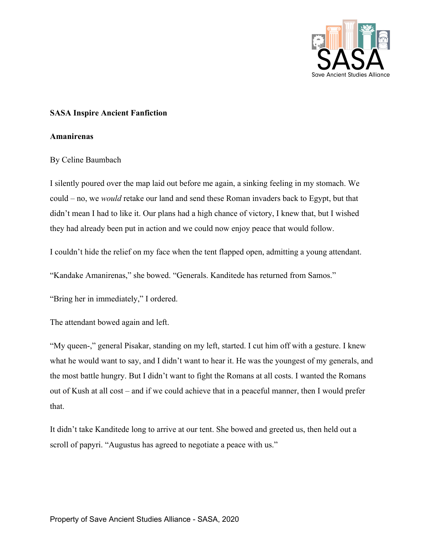

## **SASA Inspire Ancient Fanfiction**

## **Amanirenas**

## By Celine Baumbach

I silently poured over the map laid out before me again, a sinking feeling in my stomach. We could – no, we *would* retake our land and send these Roman invaders back to Egypt, but that didn't mean I had to like it. Our plans had a high chance of victory, I knew that, but I wished they had already been put in action and we could now enjoy peace that would follow.

I couldn't hide the relief on my face when the tent flapped open, admitting a young attendant.

"Kandake Amanirenas," she bowed. "Generals. Kanditede has returned from Samos."

"Bring her in immediately," I ordered.

The attendant bowed again and left.

"My queen-," general Pisakar, standing on my left, started. I cut him off with a gesture. I knew what he would want to say, and I didn't want to hear it. He was the youngest of my generals, and the most battle hungry. But I didn't want to fight the Romans at all costs. I wanted the Romans out of Kush at all cost – and if we could achieve that in a peaceful manner, then I would prefer that.

It didn't take Kanditede long to arrive at our tent. She bowed and greeted us, then held out a scroll of papyri. "Augustus has agreed to negotiate a peace with us."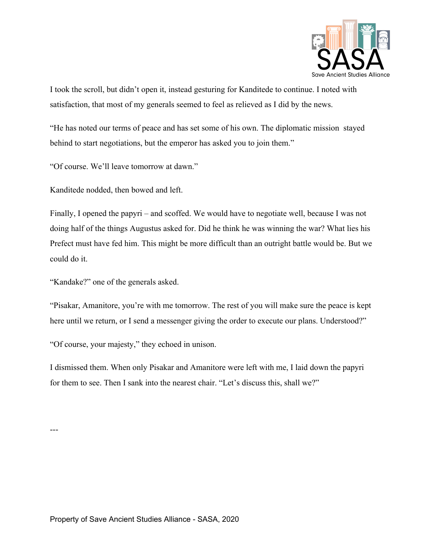

I took the scroll, but didn't open it, instead gesturing for Kanditede to continue. I noted with satisfaction, that most of my generals seemed to feel as relieved as I did by the news.

"He has noted our terms of peace and has set some of his own. The diplomatic mission stayed behind to start negotiations, but the emperor has asked you to join them."

"Of course. We'll leave tomorrow at dawn."

Kanditede nodded, then bowed and left.

Finally, I opened the papyri – and scoffed. We would have to negotiate well, because I was not doing half of the things Augustus asked for. Did he think he was winning the war? What lies his Prefect must have fed him. This might be more difficult than an outright battle would be. But we could do it.

"Kandake?" one of the generals asked.

"Pisakar, Amanitore, you're with me tomorrow. The rest of you will make sure the peace is kept here until we return, or I send a messenger giving the order to execute our plans. Understood?"

"Of course, your majesty," they echoed in unison.

I dismissed them. When only Pisakar and Amanitore were left with me, I laid down the papyri for them to see. Then I sank into the nearest chair. "Let's discuss this, shall we?"

---